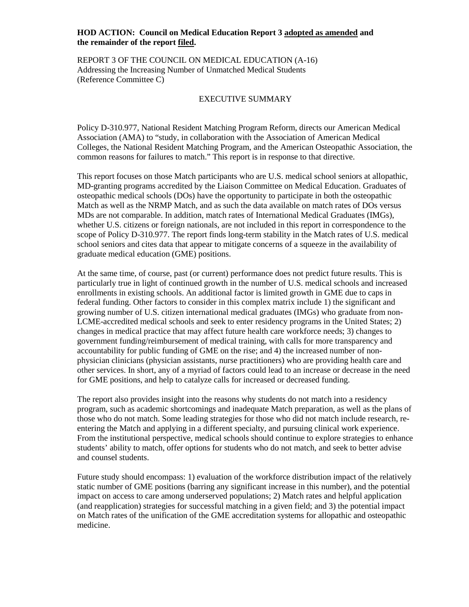# **HOD ACTION: Council on Medical Education Report 3 adopted as amended and the remainder of the report filed.**

REPORT 3 OF THE COUNCIL ON MEDICAL EDUCATION (A-16) Addressing the Increasing Number of Unmatched Medical Students (Reference Committee C)

## EXECUTIVE SUMMARY

Policy D-310.977, National Resident Matching Program Reform, directs our American Medical Association (AMA) to "study, in collaboration with the Association of American Medical Colleges, the National Resident Matching Program, and the American Osteopathic Association, the common reasons for failures to match." This report is in response to that directive.

This report focuses on those Match participants who are U.S. medical school seniors at allopathic, MD-granting programs accredited by the Liaison Committee on Medical Education. Graduates of osteopathic medical schools (DOs) have the opportunity to participate in both the osteopathic Match as well as the NRMP Match, and as such the data available on match rates of DOs versus MDs are not comparable. In addition, match rates of International Medical Graduates (IMGs), whether U.S. citizens or foreign nationals, are not included in this report in correspondence to the scope of Policy D-310.977. The report finds long-term stability in the Match rates of U.S. medical school seniors and cites data that appear to mitigate concerns of a squeeze in the availability of graduate medical education (GME) positions.

At the same time, of course, past (or current) performance does not predict future results. This is particularly true in light of continued growth in the number of U.S. medical schools and increased enrollments in existing schools. An additional factor is limited growth in GME due to caps in federal funding. Other factors to consider in this complex matrix include 1) the significant and growing number of U.S. citizen international medical graduates (IMGs) who graduate from non-LCME-accredited medical schools and seek to enter residency programs in the United States; 2) changes in medical practice that may affect future health care workforce needs; 3) changes to government funding/reimbursement of medical training, with calls for more transparency and accountability for public funding of GME on the rise; and 4) the increased number of nonphysician clinicians (physician assistants, nurse practitioners) who are providing health care and other services. In short, any of a myriad of factors could lead to an increase or decrease in the need for GME positions, and help to catalyze calls for increased or decreased funding.

The report also provides insight into the reasons why students do not match into a residency program, such as academic shortcomings and inadequate Match preparation, as well as the plans of those who do not match. Some leading strategies for those who did not match include research, reentering the Match and applying in a different specialty, and pursuing clinical work experience. From the institutional perspective, medical schools should continue to explore strategies to enhance students' ability to match, offer options for students who do not match, and seek to better advise and counsel students.

Future study should encompass: 1) evaluation of the workforce distribution impact of the relatively static number of GME positions (barring any significant increase in this number), and the potential impact on access to care among underserved populations; 2) Match rates and helpful application (and reapplication) strategies for successful matching in a given field; and 3) the potential impact on Match rates of the unification of the GME accreditation systems for allopathic and osteopathic medicine.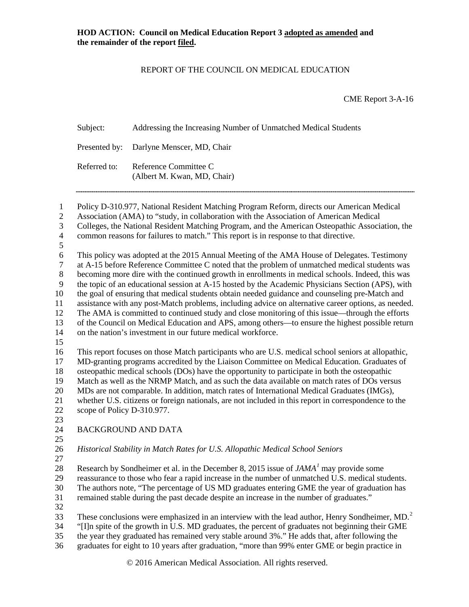# REPORT OF THE COUNCIL ON MEDICAL EDUCATION

CME Report 3-A-16

| Subject:     | Addressing the Increasing Number of Unmatched Medical Students |
|--------------|----------------------------------------------------------------|
|              | Presented by: Darlyne Menscer, MD, Chair                       |
| Referred to: | Reference Committee C<br>(Albert M. Kwan, MD, Chair)           |
|              |                                                                |

 Policy D-310.977, National Resident Matching Program Reform, directs our American Medical Association (AMA) to "study, in collaboration with the Association of American Medical Colleges, the National Resident Matching Program, and the American Osteopathic Association, the common reasons for failures to match." This report is in response to that directive. This policy was adopted at the 2015 Annual Meeting of the AMA House of Delegates. Testimony 7 at A-15 before Reference Committee C noted that the problem of unmatched medical students was<br>8 becoming more dire with the continued growth in enrollments in medical schools. Indeed, this was becoming more dire with the continued growth in enrollments in medical schools. Indeed, this was the topic of an educational session at A-15 hosted by the Academic Physicians Section (APS), with the goal of ensuring that medical students obtain needed guidance and counseling pre-Match and assistance with any post-Match problems, including advice on alternative career options, as needed. The AMA is committed to continued study and close monitoring of this issue—through the efforts of the Council on Medical Education and APS, among others—to ensure the highest possible return on the nation's investment in our future medical workforce. This report focuses on those Match participants who are U.S. medical school seniors at allopathic, MD-granting programs accredited by the Liaison Committee on Medical Education. Graduates of osteopathic medical schools (DOs) have the opportunity to participate in both the osteopathic Match as well as the NRMP Match, and as such the data available on match rates of DOs versus MDs are not comparable. In addition, match rates of International Medical Graduates (IMGs), whether U.S. citizens or foreign nationals, are not included in this report in correspondence to the scope of Policy D-310.977. BACKGROUND AND DATA *Historical Stability in Match Rates for U.S. Allopathic Medical School Seniors* Research by Sondheimer et al. in the December 8, 20[1](#page-15-0)5 issue of  $JAMA<sup>T</sup>$  may provide some reassurance to those who fear a rapid increase in the number of unmatched U.S. medical students. The authors note, "The percentage of US MD graduates entering GME the year of graduation has remained stable during the past decade despite an increase in the number of graduates." These conclusions were emphasized in an interview with the lead author, Henry Sondheimer,  $MD<sup>2</sup>$  $MD<sup>2</sup>$  $MD<sup>2</sup>$  "[I]n spite of the growth in U.S. MD graduates, the percent of graduates not beginning their GME the year they graduated has remained very stable around 3%." He adds that, after following the graduates for eight to 10 years after graduation, "more than 99% enter GME or begin practice in

© 2016 American Medical Association. All rights reserved.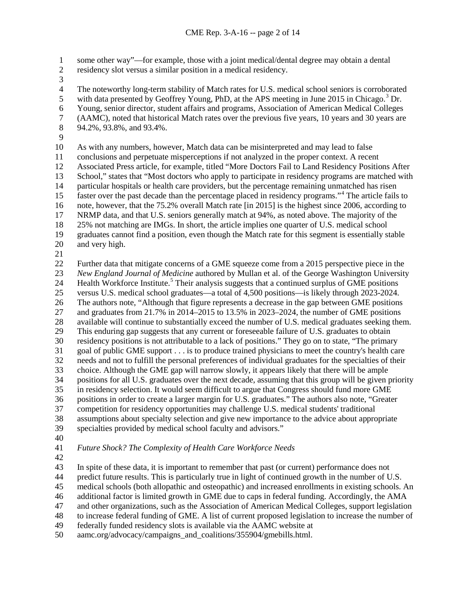some other way"—for example, those with a joint medical/dental degree may obtain a dental

residency slot versus a similar position in a medical residency.

3<br>4

4 The noteworthy long-term stability of Match rates for U.S. medical school seniors is corroborated<br>5 with data presented by Geoffrey Young, PhD, at the APS meeting in June 2015 in Chicago.<sup>3</sup> Dr. with data presented by Geoffrey Young, PhD, at the APS meeting in June 2015 in Chicago.<sup>[3](#page-15-2)</sup> Dr. Young, senior director, student affairs and programs, Association of American Medical Colleges (AAMC), noted that historical Match rates over the previous five years, 10 years and 30 years are 94.2%, 93.8%, and 93.4%.

As with any numbers, however, Match data can be misinterpreted and may lead to false

conclusions and perpetuate misperceptions if not analyzed in the proper context. A recent

Associated Press article, for example, titled "More Doctors Fail to Land Residency Positions After

13 School," states that "Most doctors who apply to participate in residency programs are matched with<br>14 particular hospitals or health care providers, but the percentage remaining unmatched has risen

 particular hospitals or health care providers, but the percentage remaining unmatched has risen 15 faster over the past decade than the percentage placed in residency programs."<sup>[4](#page-15-3)</sup> The article fails to

note, however, that the 75.2% overall Match rate [in 2015] is the highest since 2006, according to

NRMP data, and that U.S. seniors generally match at 94%, as noted above. The majority of the

25% not matching are IMGs. In short, the article implies one quarter of U.S. medical school

graduates cannot find a position, even though the Match rate for this segment is essentially stable

- and very high.
- 

 Further data that mitigate concerns of a GME squeeze come from a 2015 perspective piece in the *New England Journal of Medicine* authored by Mullan et al. of the George Washington University 24 Health Workforce Institute.<sup>[5](#page-15-4)</sup> Their analysis suggests that a continued surplus of GME positions versus U.S. medical school graduates—a total of 4,500 positions—is likely through 2023-2024. The authors note, "Although that figure represents a decrease in the gap between GME positions and graduates from 21.7% in 2014–2015 to 13.5% in 2023–2024, the number of GME positions 28 available will continue to substantially exceed the number of U.S. medical graduates seeking them.<br>29 This enduring gap suggests that any current or foreseeable failure of U.S. graduates to obtain This enduring gap suggests that any current or foreseeable failure of U.S. graduates to obtain residency positions is not attributable to a lack of positions." They go on to state, "The primary goal of public GME support . . . is to produce trained physicians to meet the country's health care needs and not to fulfill the personal preferences of individual graduates for the specialties of their choice. Although the GME gap will narrow slowly, it appears likely that there will be ample positions for all U.S. graduates over the next decade, assuming that this group will be given priority in residency selection. It would seem difficult to argue that Congress should fund more GME positions in order to create a larger margin for U.S. graduates." The authors also note, "Greater competition for residency opportunities may challenge U.S. medical students' traditional assumptions about specialty selection and give new importance to the advice about appropriate specialties provided by medical school faculty and advisors."

*Future Shock? The Complexity of Health Care Workforce Needs*

In spite of these data, it is important to remember that past (or current) performance does not

predict future results. This is particularly true in light of continued growth in the number of U.S.

medical schools (both allopathic and osteopathic) and increased enrollments in existing schools. An

additional factor is limited growth in GME due to caps in federal funding. Accordingly, the AMA

and other organizations, such as the Association of American Medical Colleges, support legislation

to increase federal funding of GME. A list of current proposed legislation to increase the number of

federally funded residency slots is available via the AAMC website at

aamc.org/advocacy/campaigns\_and\_coalitions/355904/gmebills.html.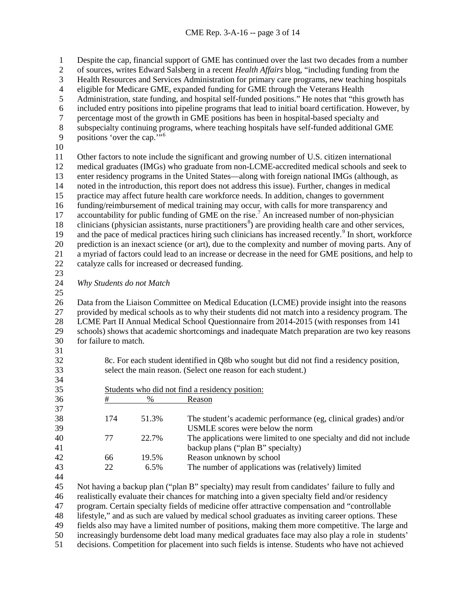Despite the cap, financial support of GME has continued over the last two decades from a number of sources, writes Edward Salsberg in a recent *Health Affairs* blog, "including funding from the 3 Health Resources and Services Administration for primary care programs, new teaching hospitals<br>4 eligible for Medicare GME, expanded funding for GME through the Veterans Health 4 eligible for Medicare GME, expanded funding for GME through the Veterans Health<br>5 Administration, state funding, and hospital self-funded positions." He notes that "this Administration, state funding, and hospital self-funded positions." He notes that "this growth has included entry positions into pipeline programs that lead to initial board certification. However, by percentage most of the growth in GME positions has been in hospital-based specialty and subspecialty continuing programs, where teaching hospitals have self-funded additional GME 9 positions 'over the cap."<sup>[6](#page-15-5)</sup> Other factors to note include the significant and growing number of U.S. citizen international medical graduates (IMGs) who graduate from non-LCME-accredited medical schools and seek to 13 enter residency programs in the United States—along with foreign national IMGs (although, as noted in the introduction, this report does not address this issue). Further, changes in medical noted in the introduction, this report does not address this issue). Further, changes in medical practice may affect future health care workforce needs. In addition, changes to government funding/reimbursement of medical training may occur, with calls for more transparency and [7](#page-15-6) accountability for public funding of GME on the rise.<sup>7</sup> An increased number of non-physician [8](#page-15-7) clinicians (physician assistants, nurse practitioners $\delta$ ) are providing health care and other services, [9](#page-15-8) and the pace of medical practices hiring such clinicians has increased recently.<sup>9</sup> In short, workforce prediction is an inexact science (or art), due to the complexity and number of moving parts. Any of a myriad of factors could lead to an increase or decrease in the need for GME positions, and help to catalyze calls for increased or decreased funding. *Why Students do not Match* Data from the Liaison Committee on Medical Education (LCME) provide insight into the reasons provided by medical schools as to why their students did not match into a residency program. The 28 LCME Part II Annual Medical School Questionnaire from 2014-2015 (with responses from 141<br>29 schools) shows that academic shortcomings and inadequate Match preparation are two key reaso schools) shows that academic shortcomings and inadequate Match preparation are two key reasons for failure to match. 8c. For each student identified in Q8b who sought but did not find a residency position, select the main reason. (Select one reason for each student.) Students who did not find a residency position: # % Reason 174 51.3% The student's academic performance (eg, clinical grades) and/or USMLE scores were below the norm 77 22.7% The applications were limited to one specialty and did not include backup plans ("plan B" specialty) 66 19.5% Reason unknown by school 22 6.5% The number of applications was (relatively) limited Not having a backup plan ("plan B" specialty) may result from candidates' failure to fully and realistically evaluate their chances for matching into a given specialty field and/or residency program. Certain specialty fields of medicine offer attractive compensation and "controllable lifestyle," and as such are valued by medical school graduates as inviting career options. These fields also may have a limited number of positions, making them more competitive. The large and increasingly burdensome debt load many medical graduates face may also play a role in students'

decisions. Competition for placement into such fields is intense. Students who have not achieved

- 
-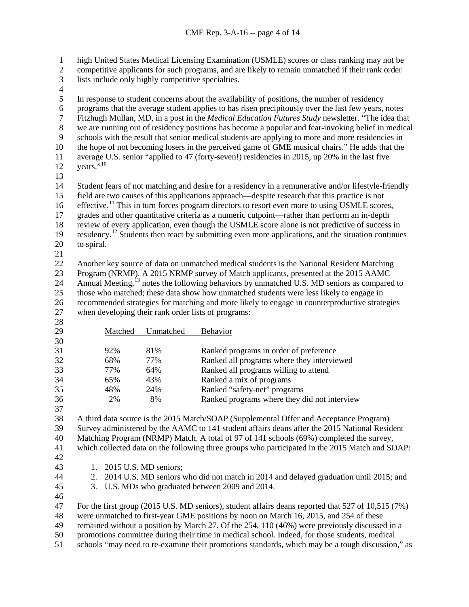high United States Medical Licensing Examination (USMLE) scores or class ranking may not be

- competitive applicants for such programs, and are likely to remain unmatched if their rank order
- lists include only highly competitive specialties.
- $\frac{4}{5}$

 In response to student concerns about the availability of positions, the number of residency 6 programs that the average student applies to has risen precipitously over the last few years, notes<br>
Titzhugh Mullan, MD, in a post in the *Medical Education Futures Study* newsletter. "The idea that Fitzhugh Mullan, MD, in a post in the *Medical Education Futures Study* newsletter. "The idea that we are running out of residency positions has become a popular and fear-invoking belief in medical schools with the result that senior medical students are applying to more and more residencies in the hope of not becoming losers in the perceived game of GME musical chairs." He adds that the average U.S. senior "applied to 47 (forty-seven!) residencies in 2015, up 20% in the last five 12 years. $10^{10}$  Student fears of not matching and desire for a residency in a remunerative and/or lifestyle-friendly field are two causes of this applications approach—despite research that this practice is not 16 effective.<sup>[11](#page-15-10)</sup> This in turn forces program directors to resort even more to using USMLE scores, grades and other quantitative criteria as a numeric cutpoint—rather than perform an in-depth review of every application, even though the USMLE score alone is not predictive of success in 19 residency.<sup>[12](#page-15-11)</sup> Students then react by submitting even more applications, and the situation continues to spiral. Another key source of data on unmatched medical students is the National Resident Matching Program (NRMP). A 2015 NRMP survey of Match applicants, presented at the 2015 AAMC 24 Annual Meeting,<sup>[13](#page-15-12)</sup> notes the following behaviors by unmatched U.S. MD seniors as compared to those who matched; these data show how unmatched students were less likely to engage in recommended strategies for matching and more likely to engage in counterproductive strategies

when developing their rank order lists of programs:

Matched Unmatched Behavior 92% 81% Ranked programs in order of preference 68% 77% Ranked all programs where they interviewed 77% 64% Ranked all programs willing to attend 65% 43% Ranked a mix of programs 48% 24% Ranked "safety-net" programs 36 2% 8% Ranked programs where they did not interview

A third data source is the 2015 Match/SOAP (Supplemental Offer and Acceptance Program)

Survey administered by the AAMC to 141 student affairs deans after the 2015 National Resident

Matching Program (NRMP) Match. A total of 97 of 141 schools (69%) completed the survey,

which collected data on the following three groups who participated in the 2015 Match and SOAP:

- 
- 1. 2015 U.S. MD seniors;
- 2. 2014 U.S. MD seniors who did not match in 2014 and delayed graduation until 2015; and
- 3. U.S. MDs who graduated between 2009 and 2014.
- 

 For the first group (2015 U.S. MD seniors), student affairs deans reported that 527 of 10,515 (7%) were unmatched to first-year GME positions by noon on March 16, 2015, and 254 of these

 remained without a position by March 27. Of the 254, 110 (46%) were previously discussed in a promotions committee during their time in medical school. Indeed, for those students, medical

schools "may need to re-examine their promotions standards, which may be a tough discussion," as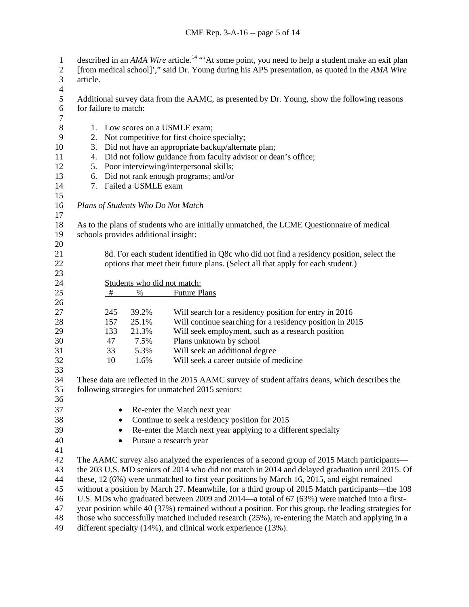| $\mathbf{1}$<br>$\boldsymbol{2}$ | described in an AMA Wire article. <sup>14</sup> "At some point, you need to help a student make an exit plan<br>[from medical school]'," said Dr. Young during his APS presentation, as quoted in the AMA Wire |                                                                                                                  |                                      |                                                                                                    |  |  |  |
|----------------------------------|----------------------------------------------------------------------------------------------------------------------------------------------------------------------------------------------------------------|------------------------------------------------------------------------------------------------------------------|--------------------------------------|----------------------------------------------------------------------------------------------------|--|--|--|
| 3                                | article.                                                                                                                                                                                                       |                                                                                                                  |                                      |                                                                                                    |  |  |  |
| $\overline{\mathcal{L}}$         |                                                                                                                                                                                                                |                                                                                                                  |                                      |                                                                                                    |  |  |  |
| 5<br>6<br>$\boldsymbol{7}$       | Additional survey data from the AAMC, as presented by Dr. Young, show the following reasons<br>for failure to match:                                                                                           |                                                                                                                  |                                      |                                                                                                    |  |  |  |
| $\,8\,$                          |                                                                                                                                                                                                                |                                                                                                                  |                                      |                                                                                                    |  |  |  |
| 9                                |                                                                                                                                                                                                                | 1. Low scores on a USMLE exam;<br>2. Not competitive for first choice specialty;                                 |                                      |                                                                                                    |  |  |  |
| 10                               | 3.                                                                                                                                                                                                             | Did not have an appropriate backup/alternate plan;                                                               |                                      |                                                                                                    |  |  |  |
| 11                               | 4.                                                                                                                                                                                                             | Did not follow guidance from faculty advisor or dean's office;                                                   |                                      |                                                                                                    |  |  |  |
| 12                               | 5.                                                                                                                                                                                                             | Poor interviewing/interpersonal skills;                                                                          |                                      |                                                                                                    |  |  |  |
| 13                               |                                                                                                                                                                                                                | 6. Did not rank enough programs; and/or                                                                          |                                      |                                                                                                    |  |  |  |
| 14<br>15                         | 7.                                                                                                                                                                                                             | Failed a USMLE exam                                                                                              |                                      |                                                                                                    |  |  |  |
| 16<br>17                         |                                                                                                                                                                                                                | Plans of Students Who Do Not Match                                                                               |                                      |                                                                                                    |  |  |  |
| 18                               |                                                                                                                                                                                                                |                                                                                                                  |                                      | As to the plans of students who are initially unmatched, the LCME Questionnaire of medical         |  |  |  |
| 19                               |                                                                                                                                                                                                                |                                                                                                                  | schools provides additional insight: |                                                                                                    |  |  |  |
| 20                               |                                                                                                                                                                                                                |                                                                                                                  |                                      |                                                                                                    |  |  |  |
| 21                               |                                                                                                                                                                                                                | 8d. For each student identified in Q8c who did not find a residency position, select the                         |                                      |                                                                                                    |  |  |  |
| 22<br>23                         | options that meet their future plans. (Select all that apply for each student.)                                                                                                                                |                                                                                                                  |                                      |                                                                                                    |  |  |  |
| 24                               | Students who did not match:                                                                                                                                                                                    |                                                                                                                  |                                      |                                                                                                    |  |  |  |
| 25                               |                                                                                                                                                                                                                | #                                                                                                                | $\%$                                 | <b>Future Plans</b>                                                                                |  |  |  |
| 26<br>27                         |                                                                                                                                                                                                                | 245                                                                                                              | 39.2%                                | Will search for a residency position for entry in 2016                                             |  |  |  |
| 28                               |                                                                                                                                                                                                                | 157                                                                                                              | 25.1%                                | Will continue searching for a residency position in 2015                                           |  |  |  |
| 29                               |                                                                                                                                                                                                                | 133                                                                                                              | 21.3%                                | Will seek employment, such as a research position                                                  |  |  |  |
| 30                               |                                                                                                                                                                                                                | 47                                                                                                               | 7.5%                                 | Plans unknown by school                                                                            |  |  |  |
| 31                               |                                                                                                                                                                                                                | 33                                                                                                               | 5.3%                                 | Will seek an additional degree                                                                     |  |  |  |
| 32<br>33                         |                                                                                                                                                                                                                | 10                                                                                                               | 1.6%                                 | Will seek a career outside of medicine                                                             |  |  |  |
| 34                               |                                                                                                                                                                                                                |                                                                                                                  |                                      | These data are reflected in the 2015 AAMC survey of student affairs deans, which describes the     |  |  |  |
| 35<br>36                         |                                                                                                                                                                                                                |                                                                                                                  |                                      | following strategies for unmatched 2015 seniors:                                                   |  |  |  |
| 37                               |                                                                                                                                                                                                                |                                                                                                                  |                                      |                                                                                                    |  |  |  |
| 38                               |                                                                                                                                                                                                                | Re-enter the Match next year                                                                                     |                                      |                                                                                                    |  |  |  |
| 39                               |                                                                                                                                                                                                                | Continue to seek a residency position for 2015<br>Re-enter the Match next year applying to a different specialty |                                      |                                                                                                    |  |  |  |
| 40                               | Pursue a research year                                                                                                                                                                                         |                                                                                                                  |                                      |                                                                                                    |  |  |  |
| 41                               |                                                                                                                                                                                                                |                                                                                                                  |                                      |                                                                                                    |  |  |  |
| 42                               |                                                                                                                                                                                                                |                                                                                                                  |                                      | The AAMC survey also analyzed the experiences of a second group of 2015 Match participants—        |  |  |  |
| 43                               | the 203 U.S. MD seniors of 2014 who did not match in 2014 and delayed graduation until 2015. Of                                                                                                                |                                                                                                                  |                                      |                                                                                                    |  |  |  |
| 44                               | these, 12 (6%) were unmatched to first year positions by March 16, 2015, and eight remained                                                                                                                    |                                                                                                                  |                                      |                                                                                                    |  |  |  |
| 45                               | without a position by March 27. Meanwhile, for a third group of 2015 Match participants—the 108                                                                                                                |                                                                                                                  |                                      |                                                                                                    |  |  |  |
| 46                               | U.S. MDs who graduated between 2009 and 2014—a total of 67 (63%) were matched into a first-                                                                                                                    |                                                                                                                  |                                      |                                                                                                    |  |  |  |
| 47                               | year position while 40 (37%) remained without a position. For this group, the leading strategies for                                                                                                           |                                                                                                                  |                                      |                                                                                                    |  |  |  |
| 48                               |                                                                                                                                                                                                                |                                                                                                                  |                                      | those who successfully matched included research $(25%)$ , re-entering the Match and applying in a |  |  |  |
| 49                               |                                                                                                                                                                                                                | different specialty (14%), and clinical work experience (13%).                                                   |                                      |                                                                                                    |  |  |  |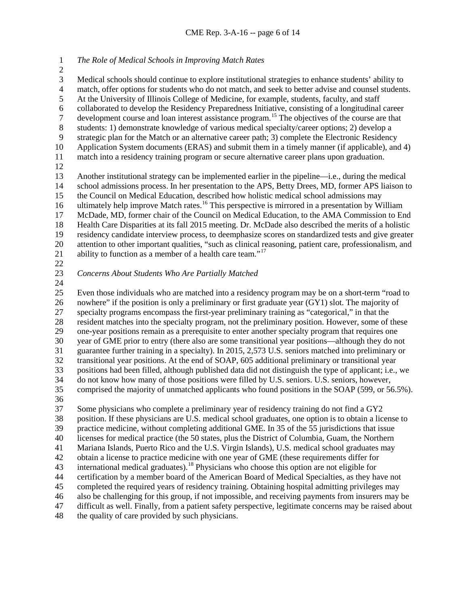*The Role of Medical Schools in Improving Match Rates* 

 Medical schools should continue to explore institutional strategies to enhance students' ability to 4 match, offer options for students who do not match, and seek to better advise and counsel students.<br>5 At the University of Illinois College of Medicine, for example, students, faculty, and staff At the University of Illinois College of Medicine, for example, students, faculty, and staff

6 collaborated to develop the Residency Preparedness Initiative, consisting of a longitudinal career<br>7 development course and loan interest assistance program.<sup>15</sup> The objectives of the course are that

development course and loan interest assistance program.<sup>[15](#page-15-14)</sup> The objectives of the course are that students: 1) demonstrate knowledge of various medical specialty/career options: 2) develop a

students: 1) demonstrate knowledge of various medical specialty/career options; 2) develop a

strategic plan for the Match or an alternative career path; 3) complete the Electronic Residency

 Application System documents (ERAS) and submit them in a timely manner (if applicable), and 4) match into a residency training program or secure alternative career plans upon graduation.

13 Another institutional strategy can be implemented earlier in the pipeline—i.e., during the medical<br>14 school admissions process. In her presentation to the APS, Betty Drees, MD, former APS liaison to school admissions process. In her presentation to the APS, Betty Drees, MD, former APS liaison to the Council on Medical Education, described how holistic medical school admissions may ultimately help improve Match rates.<sup>16</sup> This perspective is mirrored in a presentation by William McDade, MD, former chair of the Council on Medical Education, to the AMA Commission to End Health Care Disparities at its fall 2015 meeting. Dr. McDade also described the merits of a holistic residency candidate interview process, to deemphasize scores on standardized tests and give greater

 attention to other important qualities, "such as clinical reasoning, patient care, professionalism, and 21 ability to function as a member of a health care team."<sup>[17](#page-15-16)</sup>

- 
- *Concerns About Students Who Are Partially Matched*
- 

 Even those individuals who are matched into a residency program may be on a short-term "road to nowhere" if the position is only a preliminary or first graduate year (GY1) slot. The majority of specialty programs encompass the first-year preliminary training as "categorical," in that the 28 resident matches into the specialty program, not the preliminary position. However, some of these<br>29 one-vear positions remain as a prerequisite to enter another specialty program that requires one one-year positions remain as a prerequisite to enter another specialty program that requires one year of GME prior to entry (there also are some transitional year positions—although they do not guarantee further training in a specialty). In 2015, 2,573 U.S. seniors matched into preliminary or transitional year positions. At the end of SOAP, 605 additional preliminary or transitional year positions had been filled, although published data did not distinguish the type of applicant; i.e., we do not know how many of those positions were filled by U.S. seniors. U.S. seniors, however, comprised the majority of unmatched applicants who found positions in the SOAP (599, or 56.5%). 

 Some physicians who complete a preliminary year of residency training do not find a GY2 position. If these physicians are U.S. medical school graduates, one option is to obtain a license to practice medicine, without completing additional GME. In 35 of the 55 jurisdictions that issue licenses for medical practice (the 50 states, plus the District of Columbia, Guam, the Northern Mariana Islands, Puerto Rico and the U.S. Virgin Islands), U.S. medical school graduates may obtain a license to practice medicine with one year of GME (these requirements differ for 43 international medical graduates).<sup>[18](#page-15-17)</sup> Physicians who choose this option are not eligible for certification by a member board of the American Board of Medical Specialties, as they have not completed the required years of residency training. Obtaining hospital admitting privileges may also be challenging for this group, if not impossible, and receiving payments from insurers may be difficult as well. Finally, from a patient safety perspective, legitimate concerns may be raised about

the quality of care provided by such physicians.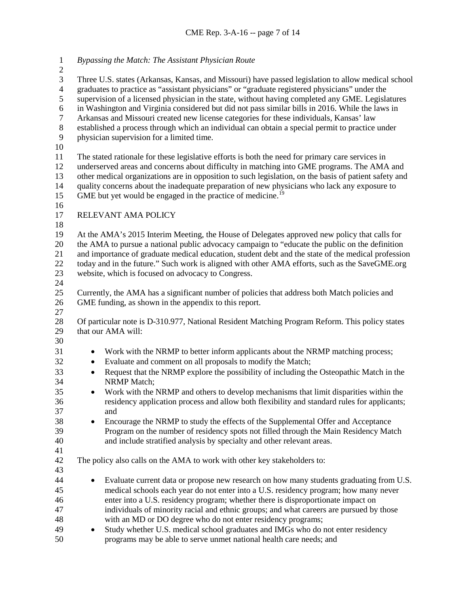*Bypassing the Match: The Assistant Physician Route* Three U.S. states (Arkansas, Kansas, and Missouri) have passed legislation to allow medical school graduates to practice as "assistant physicians" or "graduate registered physicians" under the supervision of a licensed physician in the state, without having completed any GME. Legislatures in Washington and Virginia considered but did not pass similar bills in 2016. While the laws in Arkansas and Missouri created new license categories for these individuals, Kansas' law established a process through which an individual can obtain a special permit to practice under physician supervision for a limited time. The stated rationale for these legislative efforts is both the need for primary care services in underserved areas and concerns about difficulty in matching into GME programs. The AMA and 13 other medical organizations are in opposition to such legislation, on the basis of patient safety and<br>14 ouality concerns about the inadequate preparation of new physicians who lack any exposure to quality concerns about the inadequate preparation of new physicians who lack any exposure to 15 GME but yet would be engaged in the practice of medicine.<sup>[19](#page-15-18)</sup> RELEVANT AMA POLICY At the AMA's 2015 Interim Meeting, the House of Delegates approved new policy that calls for the AMA to pursue a national public advocacy campaign to "educate the public on the definition and importance of graduate medical education, student debt and the state of the medical profession today and in the future." Such work is aligned with other AMA efforts, such as the SaveGME.org website, which is focused on advocacy to Congress. Currently, the AMA has a significant number of policies that address both Match policies and GME funding, as shown in the appendix to this report. 28 Of particular note is D-310.977, National Resident Matching Program Reform. This policy states<br>29 that our AMA will: that our AMA will: • Work with the NRMP to better inform applicants about the NRMP matching process; • Evaluate and comment on all proposals to modify the Match; • Request that the NRMP explore the possibility of including the Osteopathic Match in the NRMP Match; • Work with the NRMP and others to develop mechanisms that limit disparities within the residency application process and allow both flexibility and standard rules for applicants; and • Encourage the NRMP to study the effects of the Supplemental Offer and Acceptance Program on the number of residency spots not filled through the Main Residency Match and include stratified analysis by specialty and other relevant areas. The policy also calls on the AMA to work with other key stakeholders to: • Evaluate current data or propose new research on how many students graduating from U.S. medical schools each year do not enter into a U.S. residency program; how many never enter into a U.S. residency program; whether there is disproportionate impact on individuals of minority racial and ethnic groups; and what careers are pursued by those with an MD or DO degree who do not enter residency programs; • Study whether U.S. medical school graduates and IMGs who do not enter residency programs may be able to serve unmet national health care needs; and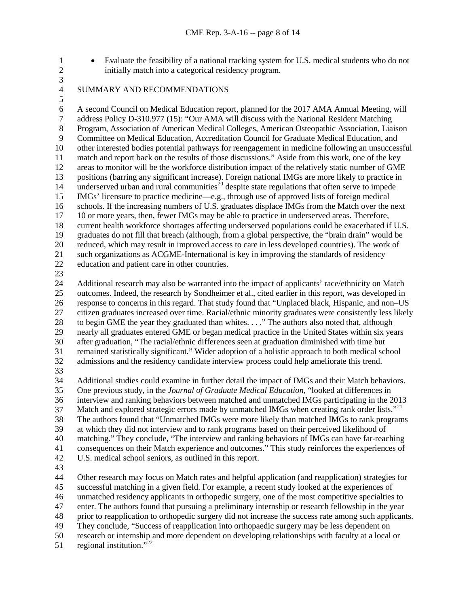- Evaluate the feasibility of a national tracking system for U.S. medical students who do not initially match into a categorical residency program.
	- SUMMARY AND RECOMMENDATIONS

 $\frac{3}{4}$ 

6 A second Council on Medical Education report, planned for the 2017 AMA Annual Meeting, will<br>7 address Policy D-310.977 (15): "Our AMA will discuss with the National Resident Matching address Policy D-310.977 (15): "Our AMA will discuss with the National Resident Matching Program, Association of American Medical Colleges, American Osteopathic Association, Liaison Committee on Medical Education, Accreditation Council for Graduate Medical Education, and other interested bodies potential pathways for reengagement in medicine following an unsuccessful match and report back on the results of those discussions." Aside from this work, one of the key areas to monitor will be the workforce distribution impact of the relatively static number of GME positions (barring any significant increase). Foreign national IMGs are more likely to practice in 14 underserved urban and rural communities<sup>[20](#page-15-19)</sup> despite state regulations that often serve to impede IMGs' licensure to practice medicine—e.g., through use of approved lists of foreign medical schools. If the increasing numbers of U.S. graduates displace IMGs from the Match over the next 10 or more years, then, fewer IMGs may be able to practice in underserved areas. Therefore, current health workforce shortages affecting underserved populations could be exacerbated if U.S. graduates do not fill that breach (although, from a global perspective, the "brain drain" would be reduced, which may result in improved access to care in less developed countries). The work of such organizations as ACGME-International is key in improving the standards of residency education and patient care in other countries.

 Additional research may also be warranted into the impact of applicants' race/ethnicity on Match outcomes. Indeed, the research by Sondheimer et al., cited earlier in this report, was developed in response to concerns in this regard. That study found that "Unplaced black, Hispanic, and non–US citizen graduates increased over time. Racial/ethnic minority graduates were consistently less likely to begin GME the year they graduated than whites. . . ." The authors also noted that, although nearly all graduates entered GME or began medical practice in the United States within six years after graduation, "The racial/ethnic differences seen at graduation diminished with time but remained statistically significant." Wider adoption of a holistic approach to both medical school admissions and the residency candidate interview process could help ameliorate this trend.

 Additional studies could examine in further detail the impact of IMGs and their Match behaviors. One previous study, in the *Journal of Graduate Medical Education*, "looked at differences in interview and ranking behaviors between matched and unmatched IMGs participating in the 2013 37 Match and explored strategic errors made by unmatched IMGs when creating rank order lists."<sup>[21](#page-15-20)</sup> The authors found that "Unmatched IMGs were more likely than matched IMGs to rank programs

at which they did not interview and to rank programs based on their perceived likelihood of

matching." They conclude, "The interview and ranking behaviors of IMGs can have far-reaching

consequences on their Match experience and outcomes." This study reinforces the experiences of

- U.S. medical school seniors, as outlined in this report.
- 

 Other research may focus on Match rates and helpful application (and reapplication) strategies for successful matching in a given field. For example, a recent study looked at the experiences of unmatched residency applicants in orthopedic surgery, one of the most competitive specialties to enter. The authors found that pursuing a preliminary internship or research fellowship in the year prior to reapplication to orthopedic surgery did not increase the success rate among such applicants. They conclude, "Success of reapplication into orthopaedic surgery may be less dependent on research or internship and more dependent on developing relationships with faculty at a local or

51 regional institution." $^{22}$  $^{22}$  $^{22}$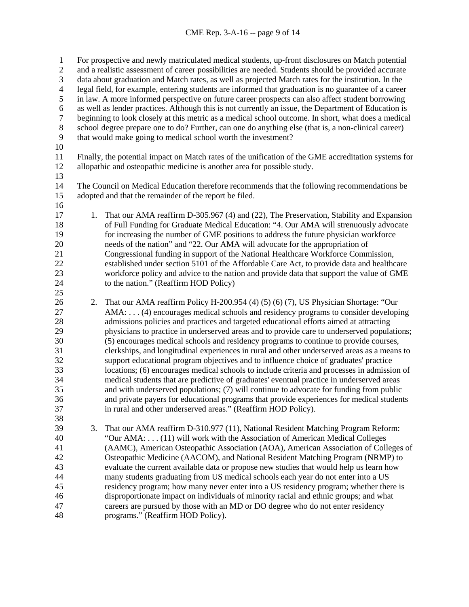For prospective and newly matriculated medical students, up-front disclosures on Match potential and a realistic assessment of career possibilities are needed. Students should be provided accurate data about graduation and Match rates, as well as projected Match rates for the institution. In the legal field, for example, entering students are informed that graduation is no guarantee of a career in law. A more informed perspective on future career prospects can also affect student borrowing 6 as well as lender practices. Although this is not currently an issue, the Department of Education is<br>7 beginning to look closely at this metric as a medical school outcome. In short, what does a medical beginning to look closely at this metric as a medical school outcome. In short, what does a medical school degree prepare one to do? Further, can one do anything else (that is, a non-clinical career) that would make going to medical school worth the investment? Finally, the potential impact on Match rates of the unification of the GME accreditation systems for allopathic and osteopathic medicine is another area for possible study. 13<br>14 The Council on Medical Education therefore recommends that the following recommendations be adopted and that the remainder of the report be filed. 17 1. That our AMA reaffirm D-305.967 (4) and (22), The Preservation, Stability and Expansion of Full Funding for Graduate Medical Education: "4. Our AMA will strenuously advocate for increasing the number of GME positions to address the future physician workforce 20 needs of the nation" and "22. Our AMA will advocate for the appropriation of<br>21 Congressional funding in support of the National Healthcare Workforce Comm Congressional funding in support of the National Healthcare Workforce Commission, established under section 5101 of the Affordable Care Act, to provide data and healthcare workforce policy and advice to the nation and provide data that support the value of GME to the nation." (Reaffirm HOD Policy) 2. That our AMA reaffirm Policy H-200.954 (4) (5) (6) (7), US Physician Shortage: "Our AMA: . . . (4) encourages medical schools and residency programs to consider developing admissions policies and practices and targeted educational efforts aimed at attracting physicians to practice in underserved areas and to provide care to underserved populations; (5) encourages medical schools and residency programs to continue to provide courses, clerkships, and longitudinal experiences in rural and other underserved areas as a means to support educational program objectives and to influence choice of graduates' practice locations; (6) encourages medical schools to include criteria and processes in admission of medical students that are predictive of graduates' eventual practice in underserved areas and with underserved populations; (7) will continue to advocate for funding from public and private payers for educational programs that provide experiences for medical students in rural and other underserved areas." (Reaffirm HOD Policy). 3. That our AMA reaffirm D-310.977 (11), National Resident Matching Program Reform: "Our AMA: . . . (11) will work with the Association of American Medical Colleges (AAMC), American Osteopathic Association (AOA), American Association of Colleges of Osteopathic Medicine (AACOM), and National Resident Matching Program (NRMP) to evaluate the current available data or propose new studies that would help us learn how many students graduating from US medical schools each year do not enter into a US residency program; how many never enter into a US residency program; whether there is disproportionate impact on individuals of minority racial and ethnic groups; and what careers are pursued by those with an MD or DO degree who do not enter residency programs." (Reaffirm HOD Policy).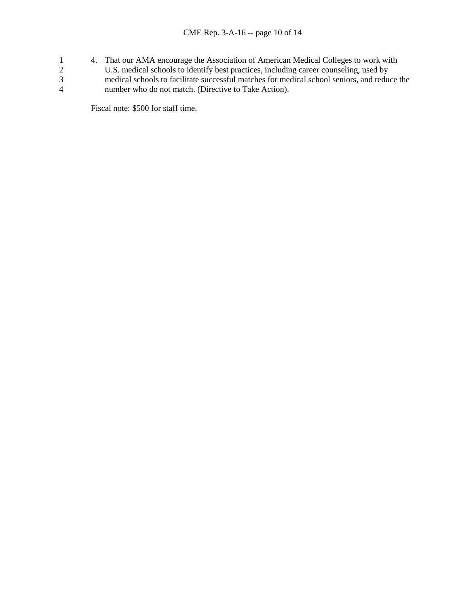- 1 4. That our AMA encourage the Association of American Medical Colleges to work with
- 2 U.S. medical schools to identify best practices, including career counseling, used by
- 3<br>
3 medical schools to facilitate successful matches for medical school seniors, and reduce the<br>
4 mumber who do not match. (Directive to Take Action). number who do not match. (Directive to Take Action).

Fiscal note: \$500 for staff time.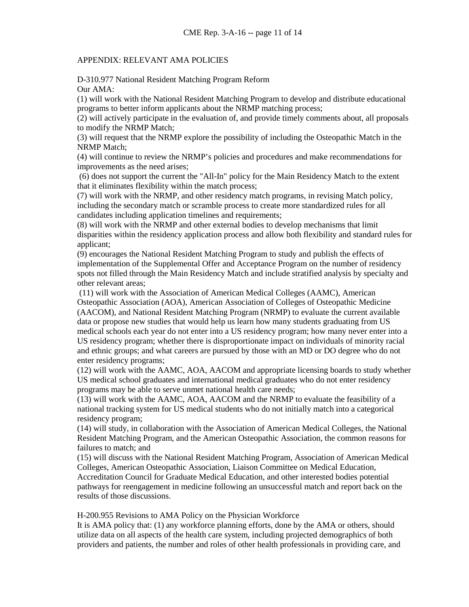## APPENDIX: RELEVANT AMA POLICIES

D-310.977 National Resident Matching Program Reform Our AMA:

(1) will work with the National Resident Matching Program to develop and distribute educational programs to better inform applicants about the NRMP matching process;

(2) will actively participate in the evaluation of, and provide timely comments about, all proposals to modify the NRMP Match;

(3) will request that the NRMP explore the possibility of including the Osteopathic Match in the NRMP Match;

(4) will continue to review the NRMP's policies and procedures and make recommendations for improvements as the need arises;

(6) does not support the current the "All-In" policy for the Main Residency Match to the extent that it eliminates flexibility within the match process;

(7) will work with the NRMP, and other residency match programs, in revising Match policy, including the secondary match or scramble process to create more standardized rules for all candidates including application timelines and requirements;

(8) will work with the NRMP and other external bodies to develop mechanisms that limit disparities within the residency application process and allow both flexibility and standard rules for applicant;

(9) encourages the National Resident Matching Program to study and publish the effects of implementation of the Supplemental Offer and Acceptance Program on the number of residency spots not filled through the Main Residency Match and include stratified analysis by specialty and other relevant areas;

(11) will work with the Association of American Medical Colleges (AAMC), American Osteopathic Association (AOA), American Association of Colleges of Osteopathic Medicine (AACOM), and National Resident Matching Program (NRMP) to evaluate the current available data or propose new studies that would help us learn how many students graduating from US medical schools each year do not enter into a US residency program; how many never enter into a US residency program; whether there is disproportionate impact on individuals of minority racial and ethnic groups; and what careers are pursued by those with an MD or DO degree who do not enter residency programs;

(12) will work with the AAMC, AOA, AACOM and appropriate licensing boards to study whether US medical school graduates and international medical graduates who do not enter residency programs may be able to serve unmet national health care needs;

(13) will work with the AAMC, AOA, AACOM and the NRMP to evaluate the feasibility of a national tracking system for US medical students who do not initially match into a categorical residency program;

(14) will study, in collaboration with the Association of American Medical Colleges, the National Resident Matching Program, and the American Osteopathic Association, the common reasons for failures to match; and

(15) will discuss with the National Resident Matching Program, Association of American Medical Colleges, American Osteopathic Association, Liaison Committee on Medical Education, Accreditation Council for Graduate Medical Education, and other interested bodies potential pathways for reengagement in medicine following an unsuccessful match and report back on the results of those discussions.

H-200.955 Revisions to AMA Policy on the Physician Workforce

It is AMA policy that: (1) any workforce planning efforts, done by the AMA or others, should utilize data on all aspects of the health care system, including projected demographics of both providers and patients, the number and roles of other health professionals in providing care, and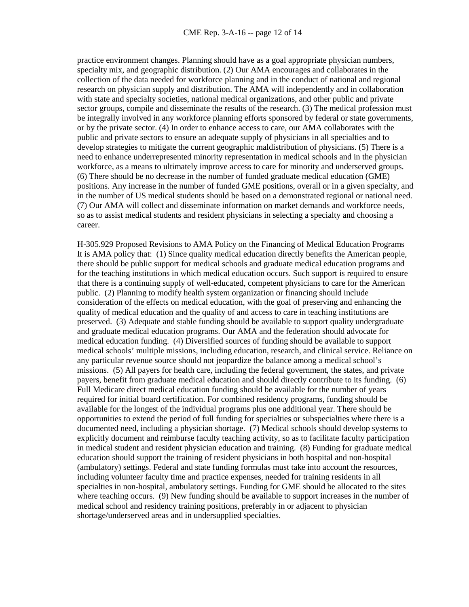practice environment changes. Planning should have as a goal appropriate physician numbers, specialty mix, and geographic distribution. (2) Our AMA encourages and collaborates in the collection of the data needed for workforce planning and in the conduct of national and regional research on physician supply and distribution. The AMA will independently and in collaboration with state and specialty societies, national medical organizations, and other public and private sector groups, compile and disseminate the results of the research. (3) The medical profession must be integrally involved in any workforce planning efforts sponsored by federal or state governments, or by the private sector. (4) In order to enhance access to care, our AMA collaborates with the public and private sectors to ensure an adequate supply of physicians in all specialties and to develop strategies to mitigate the current geographic maldistribution of physicians. (5) There is a need to enhance underrepresented minority representation in medical schools and in the physician workforce, as a means to ultimately improve access to care for minority and underserved groups. (6) There should be no decrease in the number of funded graduate medical education (GME) positions. Any increase in the number of funded GME positions, overall or in a given specialty, and in the number of US medical students should be based on a demonstrated regional or national need. (7) Our AMA will collect and disseminate information on market demands and workforce needs, so as to assist medical students and resident physicians in selecting a specialty and choosing a career.

H-305.929 Proposed Revisions to AMA Policy on the Financing of Medical Education Programs It is AMA policy that: (1) Since quality medical education directly benefits the American people, there should be public support for medical schools and graduate medical education programs and for the teaching institutions in which medical education occurs. Such support is required to ensure that there is a continuing supply of well-educated, competent physicians to care for the American public. (2) Planning to modify health system organization or financing should include consideration of the effects on medical education, with the goal of preserving and enhancing the quality of medical education and the quality of and access to care in teaching institutions are preserved. (3) Adequate and stable funding should be available to support quality undergraduate and graduate medical education programs. Our AMA and the federation should advocate for medical education funding. (4) Diversified sources of funding should be available to support medical schools' multiple missions, including education, research, and clinical service. Reliance on any particular revenue source should not jeopardize the balance among a medical school's missions. (5) All payers for health care, including the federal government, the states, and private payers, benefit from graduate medical education and should directly contribute to its funding. (6) Full Medicare direct medical education funding should be available for the number of years required for initial board certification. For combined residency programs, funding should be available for the longest of the individual programs plus one additional year. There should be opportunities to extend the period of full funding for specialties or subspecialties where there is a documented need, including a physician shortage. (7) Medical schools should develop systems to explicitly document and reimburse faculty teaching activity, so as to facilitate faculty participation in medical student and resident physician education and training. (8) Funding for graduate medical education should support the training of resident physicians in both hospital and non-hospital (ambulatory) settings. Federal and state funding formulas must take into account the resources, including volunteer faculty time and practice expenses, needed for training residents in all specialties in non-hospital, ambulatory settings. Funding for GME should be allocated to the sites where teaching occurs. (9) New funding should be available to support increases in the number of medical school and residency training positions, preferably in or adjacent to physician shortage/underserved areas and in undersupplied specialties.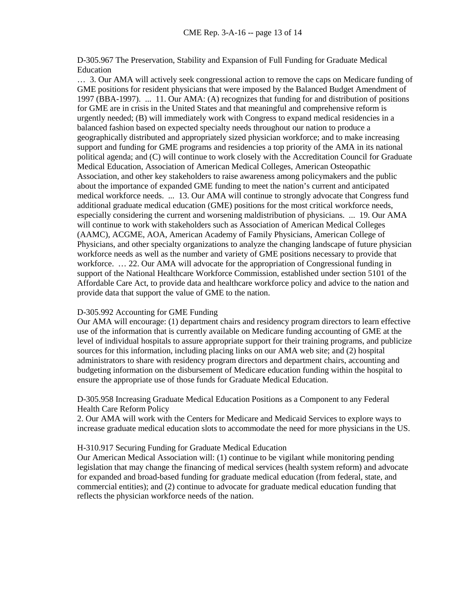D-305.967 The Preservation, Stability and Expansion of Full Funding for Graduate Medical Education

… 3. Our AMA will actively seek congressional action to remove the caps on Medicare funding of GME positions for resident physicians that were imposed by the Balanced Budget Amendment of 1997 (BBA-1997). ... 11. Our AMA: (A) recognizes that funding for and distribution of positions for GME are in crisis in the United States and that meaningful and comprehensive reform is urgently needed; (B) will immediately work with Congress to expand medical residencies in a balanced fashion based on expected specialty needs throughout our nation to produce a geographically distributed and appropriately sized physician workforce; and to make increasing support and funding for GME programs and residencies a top priority of the AMA in its national political agenda; and (C) will continue to work closely with the Accreditation Council for Graduate Medical Education, Association of American Medical Colleges, American Osteopathic Association, and other key stakeholders to raise awareness among policymakers and the public about the importance of expanded GME funding to meet the nation's current and anticipated medical workforce needs. ... 13. Our AMA will continue to strongly advocate that Congress fund additional graduate medical education (GME) positions for the most critical workforce needs, especially considering the current and worsening maldistribution of physicians. ... 19. Our AMA will continue to work with stakeholders such as Association of American Medical Colleges (AAMC), ACGME, AOA, American Academy of Family Physicians, American College of Physicians, and other specialty organizations to analyze the changing landscape of future physician workforce needs as well as the number and variety of GME positions necessary to provide that workforce. ... 22. Our AMA will advocate for the appropriation of Congressional funding in support of the National Healthcare Workforce Commission, established under section 5101 of the Affordable Care Act, to provide data and healthcare workforce policy and advice to the nation and provide data that support the value of GME to the nation.

## D-305.992 Accounting for GME Funding

Our AMA will encourage: (1) department chairs and residency program directors to learn effective use of the information that is currently available on Medicare funding accounting of GME at the level of individual hospitals to assure appropriate support for their training programs, and publicize sources for this information, including placing links on our AMA web site; and (2) hospital administrators to share with residency program directors and department chairs, accounting and budgeting information on the disbursement of Medicare education funding within the hospital to ensure the appropriate use of those funds for Graduate Medical Education.

#### D-305.958 Increasing Graduate Medical Education Positions as a Component to any Federal Health Care Reform Policy

2. Our AMA will work with the Centers for Medicare and Medicaid Services to explore ways to increase graduate medical education slots to accommodate the need for more physicians in the US.

#### H-310.917 Securing Funding for Graduate Medical Education

Our American Medical Association will: (1) continue to be vigilant while monitoring pending legislation that may change the financing of medical services (health system reform) and advocate for expanded and broad-based funding for graduate medical education (from federal, state, and commercial entities); and (2) continue to advocate for graduate medical education funding that reflects the physician workforce needs of the nation.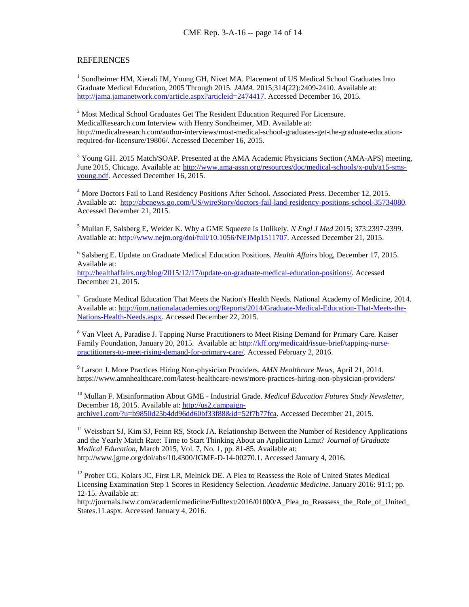#### **REFERENCES**

<sup>1</sup> Sondheimer HM, Xierali IM, Young GH, Nivet MA. Placement of US Medical School Graduates Into Graduate Medical Education, 2005 Through 2015. *JAMA*. 2015;314(22):2409-2410. Available at: [http://jama.jamanetwork.com/article.aspx?articleid=2474417.](http://jama.jamanetwork.com/article.aspx?articleid=2474417) Accessed December 16, 2015.

<sup>2</sup> Most Medical School Graduates Get The Resident Education Required For Licensure. MedicalResearch.com Interview with Henry Sondheimer, MD. Available at: http://medicalresearch.com/author-interviews/most-medical-school-graduates-get-the-graduate-educationrequired-for-licensure/19806/. Accessed December 16, 2015.

<sup>3</sup> Young GH. 2015 Match/SOAP. Presented at the AMA Academic Physicians Section (AMA-APS) meeting, June 2015, Chicago. Available at: [http://www.ama-assn.org/resources/doc/medical-schools/x-pub/a15-sms](http://www.ama-assn.org/resources/doc/medical-schools/x-pub/a15-sms-young.pdf)[young.pdf.](http://www.ama-assn.org/resources/doc/medical-schools/x-pub/a15-sms-young.pdf) Accessed December 16, 2015.

<sup>4</sup> More Doctors Fail to Land Residency Positions After School. Associated Press. December 12, 2015. Available at: [http://abcnews.go.com/US/wireStory/doctors-fail-land-residency-positions-school-35734080.](http://abcnews.go.com/US/wireStory/doctors-fail-land-residency-positions-school-35734080) Accessed December 21, 2015.

<sup>5</sup> Mullan F, Salsberg E, Weider K. Why a GME Squeeze Is Unlikely. *N Engl J Med* 2015; 373:2397-2399. Available at[: http://www.nejm.org/doi/full/10.1056/NEJMp1511707.](http://www.nejm.org/doi/full/10.1056/NEJMp1511707) Accessed December 21, 2015.

<sup>6</sup> Salsberg E. Update on Graduate Medical Education Positions. *Health Affairs* blog, December 17, 2015. Available at:

[http://healthaffairs.org/blog/2015/12/17/update-on-graduate-medical-education-positions/.](http://healthaffairs.org/blog/2015/12/17/update-on-graduate-medical-education-positions/) Accessed December 21, 2015.

 $7$  Graduate Medical Education That Meets the Nation's Health Needs. National Academy of Medicine, 2014. Available at[: http://iom.nationalacademies.org/Reports/2014/Graduate-Medical-Education-That-Meets-the-](http://iom.nationalacademies.org/Reports/2014/Graduate-Medical-Education-That-Meets-the-Nations-Health-Needs.aspx)[Nations-Health-Needs.aspx.](http://iom.nationalacademies.org/Reports/2014/Graduate-Medical-Education-That-Meets-the-Nations-Health-Needs.aspx) Accessed December 22, 2015.

<sup>8</sup> Van Vleet A, Paradise J. Tapping Nurse Practitioners to Meet Rising Demand for Primary Care. Kaiser Family Foundation, January 20, 2015. Available at: [http://kff.org/medicaid/issue-brief/tapping-nurse](http://kff.org/medicaid/issue-brief/tapping-nurse-practitioners-to-meet-rising-demand-for-primary-care/)[practitioners-to-meet-rising-demand-for-primary-care/.](http://kff.org/medicaid/issue-brief/tapping-nurse-practitioners-to-meet-rising-demand-for-primary-care/) Accessed February 2, 2016.

<sup>9</sup> Larson J. More Practices Hiring Non-physician Providers. *AMN Healthcare News*, April 21, 2014. https://www.amnhealthcare.com/latest-healthcare-news/more-practices-hiring-non-physician-providers/

<sup>10</sup> Mullan F. Misinformation About GME - Industrial Grade. *Medical Education Futures Study Newsletter*, December 18, 2015. Available at: [http://us2.campaign](http://us2.campaign-archive1.com/?u=b9850d25b4dd96dd60bf33f88&id=52f7b77fca)[archive1.com/?u=b9850d25b4dd96dd60bf33f88&id=52f7b77fca.](http://us2.campaign-archive1.com/?u=b9850d25b4dd96dd60bf33f88&id=52f7b77fca) Accessed December 21, 2015.

<sup>11</sup> Weissbart SJ, Kim SJ, Feinn RS, Stock JA. Relationship Between the Number of Residency Applications and the Yearly Match Rate: Time to Start Thinking About an Application Limit? *Journal of Graduate Medical Education,* March 2015, Vol. 7, No. 1, pp. 81-85. Available at: http://www.jgme.org/doi/abs/10.4300/JGME-D-14-00270.1. Accessed January 4, 2016.

<sup>12</sup> Prober CG, Kolars JC, First LR, Melnick DE. A Plea to Reassess the Role of United States Medical Licensing Examination Step 1 Scores in Residency Selection. *Academic Medicine*. January 2016: 91:1; pp. 12-15. Available at:

http://journals.lww.com/academicmedicine/Fulltext/2016/01000/A\_Plea\_to\_Reassess\_the\_Role\_of\_United\_ States.11.aspx. Accessed January 4, 2016.